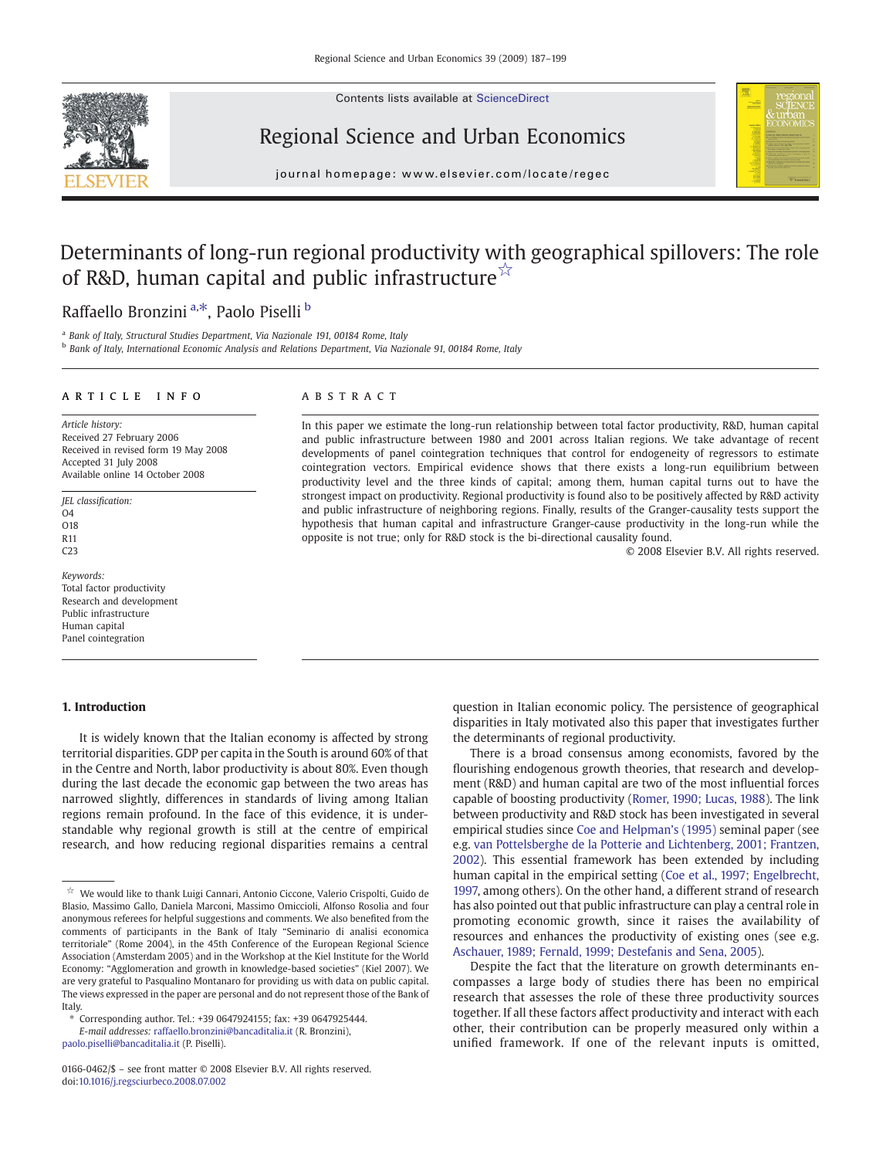Contents lists available at ScienceDirect



## Regional Science and Urban Economics



journal homepage: www.elsevier.com/locate/regec

## Determinants of long-run regional productivity with geographical spillovers: The role of R&D, human capital and public infrastructure<sup>☆</sup>

## Raffaello Bronzini <sup>a,\*</sup>, Paolo Piselli <sup>b</sup>

<sup>a</sup> Bank of Italy, Structural Studies Department, Via Nazionale 191, 00184 Rome, Italy

<sup>b</sup> Bank of Italy, International Economic Analysis and Relations Department, Via Nazionale 91, 00184 Rome, Italy

### article info abstract

Article history: Received 27 February 2006 Received in revised form 19 May 2008 Accepted 31 July 2008 Available online 14 October 2008

JEL classification: O4 O18 R11 C<sub>23</sub>

Keywords: Total factor productivity Research and development Public infrastructure Human capital Panel cointegration

### 1. Introduction

### It is widely known that the Italian economy is affected by strong territorial disparities. GDP per capita in the South is around 60% of that in the Centre and North, labor productivity is about 80%. Even though during the last decade the economic gap between the two areas has narrowed slightly, differences in standards of living among Italian regions remain profound. In the face of this evidence, it is understandable why regional growth is still at the centre of empirical research, and how reducing regional disparities remains a central

[paolo.piselli@bancaditalia.it](mailto:paolo.piselli@bancaditalia.it) (P. Piselli).

In this paper we estimate the long-run relationship between total factor productivity, R&D, human capital and public infrastructure between 1980 and 2001 across Italian regions. We take advantage of recent developments of panel cointegration techniques that control for endogeneity of regressors to estimate cointegration vectors. Empirical evidence shows that there exists a long-run equilibrium between productivity level and the three kinds of capital; among them, human capital turns out to have the strongest impact on productivity. Regional productivity is found also to be positively affected by R&D activity and public infrastructure of neighboring regions. Finally, results of the Granger-causality tests support the hypothesis that human capital and infrastructure Granger-cause productivity in the long-run while the opposite is not true; only for R&D stock is the bi-directional causality found.

© 2008 Elsevier B.V. All rights reserved.

question in Italian economic policy. The persistence of geographical disparities in Italy motivated also this paper that investigates further the determinants of regional productivity.

There is a broad consensus among economists, favored by the flourishing endogenous growth theories, that research and development (R&D) and human capital are two of the most influential forces capable of boosting productivity ([Romer, 1990; Lucas, 1988\)](#page--1-0). The link between productivity and R&D stock has been investigated in several empirical studies since [Coe and Helpman](#page--1-0)'s (1995) seminal paper (see e.g. [van Pottelsberghe de la Potterie and Lichtenberg, 2001; Frantzen,](#page--1-0) [2002\)](#page--1-0). This essential framework has been extended by including human capital in the empirical setting [\(Coe et al., 1997; Engelbrecht,](#page--1-0) [1997,](#page--1-0) among others). On the other hand, a different strand of research has also pointed out that public infrastructure can play a central role in promoting economic growth, since it raises the availability of resources and enhances the productivity of existing ones (see e.g. [Aschauer, 1989; Fernald, 1999; Destefanis and Sena, 2005](#page--1-0)).

Despite the fact that the literature on growth determinants encompasses a large body of studies there has been no empirical research that assesses the role of these three productivity sources together. If all these factors affect productivity and interact with each other, their contribution can be properly measured only within a unified framework. If one of the relevant inputs is omitted,

 $\mathring{\!\!\times}\!\!\;$  We would like to thank Luigi Cannari, Antonio Ciccone, Valerio Crispolti, Guido de Blasio, Massimo Gallo, Daniela Marconi, Massimo Omiccioli, Alfonso Rosolia and four anonymous referees for helpful suggestions and comments. We also benefited from the comments of participants in the Bank of Italy "Seminario di analisi economica territoriale" (Rome 2004), in the 45th Conference of the European Regional Science Association (Amsterdam 2005) and in the Workshop at the Kiel Institute for the World Economy: "Agglomeration and growth in knowledge-based societies" (Kiel 2007). We are very grateful to Pasqualino Montanaro for providing us with data on public capital. The views expressed in the paper are personal and do not represent those of the Bank of **Italy** 

<sup>⁎</sup> Corresponding author. Tel.: +39 0647924155; fax: +39 0647925444. E-mail addresses: [raffaello.bronzini@bancaditalia.it](mailto:raffaello.bronzini@bancaditalia.it) (R. Bronzini),

<sup>0166-0462/\$</sup> – see front matter © 2008 Elsevier B.V. All rights reserved. doi:[10.1016/j.regsciurbeco.2008.07.002](http://dx.doi.org/10.1016/j.regsciurbeco.2008.07.002)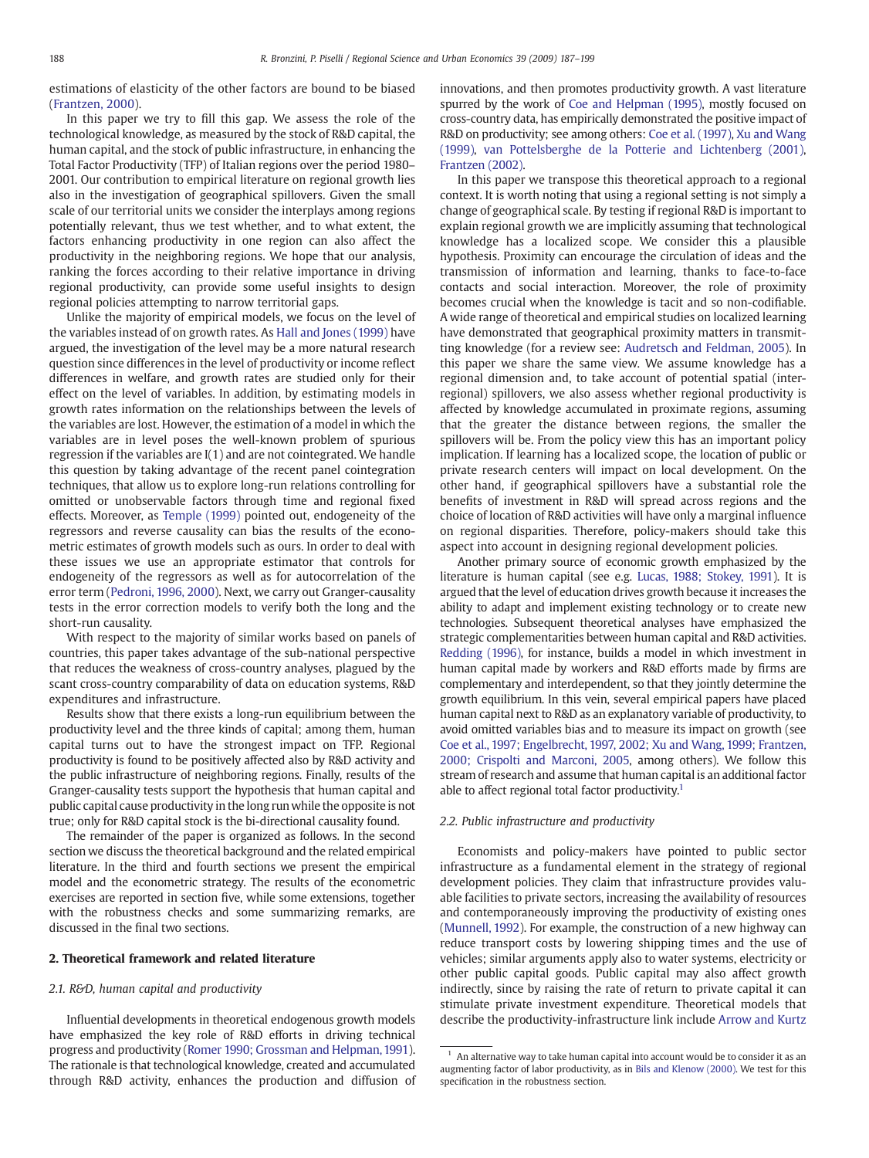estimations of elasticity of the other factors are bound to be biased ([Frantzen, 2000](#page--1-0)).

In this paper we try to fill this gap. We assess the role of the technological knowledge, as measured by the stock of R&D capital, the human capital, and the stock of public infrastructure, in enhancing the Total Factor Productivity (TFP) of Italian regions over the period 1980– 2001. Our contribution to empirical literature on regional growth lies also in the investigation of geographical spillovers. Given the small scale of our territorial units we consider the interplays among regions potentially relevant, thus we test whether, and to what extent, the factors enhancing productivity in one region can also affect the productivity in the neighboring regions. We hope that our analysis, ranking the forces according to their relative importance in driving regional productivity, can provide some useful insights to design regional policies attempting to narrow territorial gaps.

Unlike the majority of empirical models, we focus on the level of the variables instead of on growth rates. As [Hall and Jones \(1999\)](#page--1-0) have argued, the investigation of the level may be a more natural research question since differences in the level of productivity or income reflect differences in welfare, and growth rates are studied only for their effect on the level of variables. In addition, by estimating models in growth rates information on the relationships between the levels of the variables are lost. However, the estimation of a model in which the variables are in level poses the well-known problem of spurious regression if the variables are I(1) and are not cointegrated. We handle this question by taking advantage of the recent panel cointegration techniques, that allow us to explore long-run relations controlling for omitted or unobservable factors through time and regional fixed effects. Moreover, as [Temple \(1999\)](#page--1-0) pointed out, endogeneity of the regressors and reverse causality can bias the results of the econometric estimates of growth models such as ours. In order to deal with these issues we use an appropriate estimator that controls for endogeneity of the regressors as well as for autocorrelation of the error term ([Pedroni, 1996, 2000](#page--1-0)). Next, we carry out Granger-causality tests in the error correction models to verify both the long and the short-run causality.

With respect to the majority of similar works based on panels of countries, this paper takes advantage of the sub-national perspective that reduces the weakness of cross-country analyses, plagued by the scant cross-country comparability of data on education systems, R&D expenditures and infrastructure.

Results show that there exists a long-run equilibrium between the productivity level and the three kinds of capital; among them, human capital turns out to have the strongest impact on TFP. Regional productivity is found to be positively affected also by R&D activity and the public infrastructure of neighboring regions. Finally, results of the Granger-causality tests support the hypothesis that human capital and public capital cause productivity in the long runwhile the opposite is not true; only for R&D capital stock is the bi-directional causality found.

The remainder of the paper is organized as follows. In the second section we discuss the theoretical background and the related empirical literature. In the third and fourth sections we present the empirical model and the econometric strategy. The results of the econometric exercises are reported in section five, while some extensions, together with the robustness checks and some summarizing remarks, are discussed in the final two sections.

### 2. Theoretical framework and related literature

### 2.1. R&D, human capital and productivity

Influential developments in theoretical endogenous growth models have emphasized the key role of R&D efforts in driving technical progress and productivity ([Romer 1990; Grossman and Helpman, 1991](#page--1-0)). The rationale is that technological knowledge, created and accumulated through R&D activity, enhances the production and diffusion of innovations, and then promotes productivity growth. A vast literature spurred by the work of [Coe and Helpman \(1995\)](#page--1-0), mostly focused on cross-country data, has empirically demonstrated the positive impact of R&D on productivity; see among others: [Coe et al. \(1997\)](#page--1-0), [Xu and Wang](#page--1-0) [\(1999\)](#page--1-0), [van Pottelsberghe de la Potterie and Lichtenberg \(2001\),](#page--1-0) [Frantzen \(2002\)](#page--1-0).

In this paper we transpose this theoretical approach to a regional context. It is worth noting that using a regional setting is not simply a change of geographical scale. By testing if regional R&D is important to explain regional growth we are implicitly assuming that technological knowledge has a localized scope. We consider this a plausible hypothesis. Proximity can encourage the circulation of ideas and the transmission of information and learning, thanks to face-to-face contacts and social interaction. Moreover, the role of proximity becomes crucial when the knowledge is tacit and so non-codifiable. A wide range of theoretical and empirical studies on localized learning have demonstrated that geographical proximity matters in transmitting knowledge (for a review see: [Audretsch and Feldman, 2005](#page--1-0)). In this paper we share the same view. We assume knowledge has a regional dimension and, to take account of potential spatial (interregional) spillovers, we also assess whether regional productivity is affected by knowledge accumulated in proximate regions, assuming that the greater the distance between regions, the smaller the spillovers will be. From the policy view this has an important policy implication. If learning has a localized scope, the location of public or private research centers will impact on local development. On the other hand, if geographical spillovers have a substantial role the benefits of investment in R&D will spread across regions and the choice of location of R&D activities will have only a marginal influence on regional disparities. Therefore, policy-makers should take this aspect into account in designing regional development policies.

Another primary source of economic growth emphasized by the literature is human capital (see e.g. [Lucas, 1988; Stokey, 1991](#page--1-0)). It is argued that the level of education drives growth because it increases the ability to adapt and implement existing technology or to create new technologies. Subsequent theoretical analyses have emphasized the strategic complementarities between human capital and R&D activities. [Redding \(1996\),](#page--1-0) for instance, builds a model in which investment in human capital made by workers and R&D efforts made by firms are complementary and interdependent, so that they jointly determine the growth equilibrium. In this vein, several empirical papers have placed human capital next to R&D as an explanatory variable of productivity, to avoid omitted variables bias and to measure its impact on growth (see [Coe et al., 1997; Engelbrecht, 1997, 2002; Xu and Wang, 1999; Frantzen,](#page--1-0) [2000; Crispolti and Marconi, 2005](#page--1-0), among others). We follow this stream of research and assume that human capital is an additional factor able to affect regional total factor productivity.<sup>1</sup>

### 2.2. Public infrastructure and productivity

Economists and policy-makers have pointed to public sector infrastructure as a fundamental element in the strategy of regional development policies. They claim that infrastructure provides valuable facilities to private sectors, increasing the availability of resources and contemporaneously improving the productivity of existing ones ([Munnell, 1992](#page--1-0)). For example, the construction of a new highway can reduce transport costs by lowering shipping times and the use of vehicles; similar arguments apply also to water systems, electricity or other public capital goods. Public capital may also affect growth indirectly, since by raising the rate of return to private capital it can stimulate private investment expenditure. Theoretical models that describe the productivity-infrastructure link include [Arrow and Kurtz](#page--1-0)

 $1$  An alternative way to take human capital into account would be to consider it as an augmenting factor of labor productivity, as in [Bils and Klenow \(2000\)](#page--1-0). We test for this specification in the robustness section.